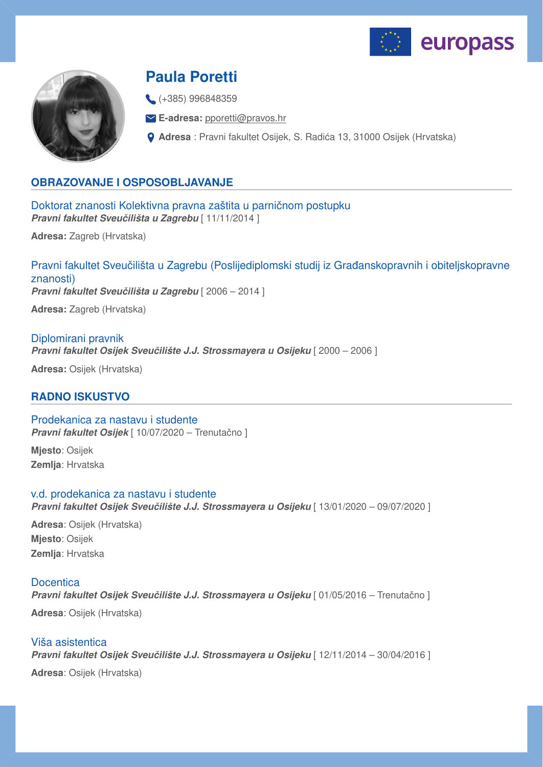



# **Paula Poretti**

(+385) 996848359

**E-adresa:** [pporetti@pravos.hr](mailto:pporetti@pravos.hr)

**Adresa** : Pravni fakultet Osijek, S. Radića 13, 31000 Osijek (Hrvatska)

## **OBRAZOVANJE I OSPOSOBLJAVANJE**

Doktorat znanosti Kolektivna pravna zaštita u parničnom postupku *Pravni fakultet Sveučilišta u Zagrebu* [ 11/11/2014 ]

**Adresa:** Zagreb (Hrvatska)

Pravni fakultet Sveučilišta u Zagrebu (Poslijediplomski studij iz Građanskopravnih i obiteljskopravne znanosti) *Pravni fakultet Sveučilišta u Zagrebu* [ 2006 – 2014 ] **Adresa:** Zagreb (Hrvatska)

Diplomirani pravnik *Pravni fakultet Osijek Sveučilište J.J. Strossmayera u Osijeku* [ 2000 – 2006 ]

**Adresa:** Osijek (Hrvatska)

## **RADNO ISKUSTVO**

## Prodekanica za nastavu i studente *Pravni fakultet Osijek* [ 10/07/2020 – Trenutačno ]

**Mjesto**: Osijek **Zemlja**: Hrvatska

### v.d. prodekanica za nastavu i studente

*Pravni fakultet Osijek Sveučilište J.J. Strossmayera u Osijeku* [ 13/01/2020 – 09/07/2020 ]

**Adresa**: Osijek (Hrvatska) **Mjesto**: Osijek **Zemlja**: Hrvatska

# **Docentica**

*Pravni fakultet Osijek Sveučilište J.J. Strossmayera u Osijeku* [ 01/05/2016 – Trenutačno ]

**Adresa**: Osijek (Hrvatska)

# Viša asistentica *Pravni fakultet Osijek Sveučilište J.J. Strossmayera u Osijeku* [ 12/11/2014 – 30/04/2016 ]

**Adresa**: Osijek (Hrvatska)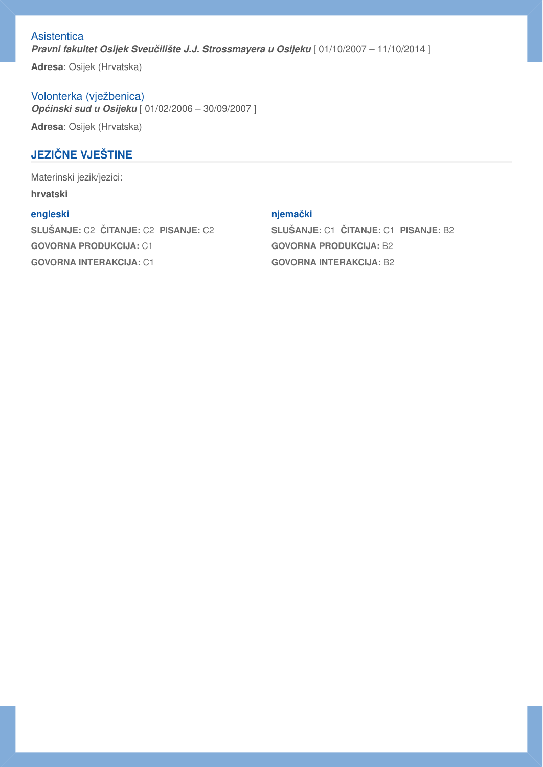**Asistentica** *Pravni fakultet Osijek Sveučilište J.J. Strossmayera u Osijeku* [ 01/10/2007 – 11/10/2014 ]

**Adresa**: Osijek (Hrvatska)

Volonterka (vježbenica) *Općinski sud u Osijeku* [ 01/02/2006 – 30/09/2007 ] **Adresa**: Osijek (Hrvatska)

# **JEZIČNE VJEŠTINE**

Materinski jezik/jezici: **hrvatski**

## **engleski**

**SLUŠANJE:** C2 **ČITANJE:** C2 **PISANJE:** C2 **GOVORNA PRODUKCIJA:** C1 **GOVORNA INTERAKCIJA:** C1

### **njemački**

**SLUŠANJE:** C1 **ČITANJE:** C1 **PISANJE:** B2 **GOVORNA PRODUKCIJA:** B2 **GOVORNA INTERAKCIJA:** B2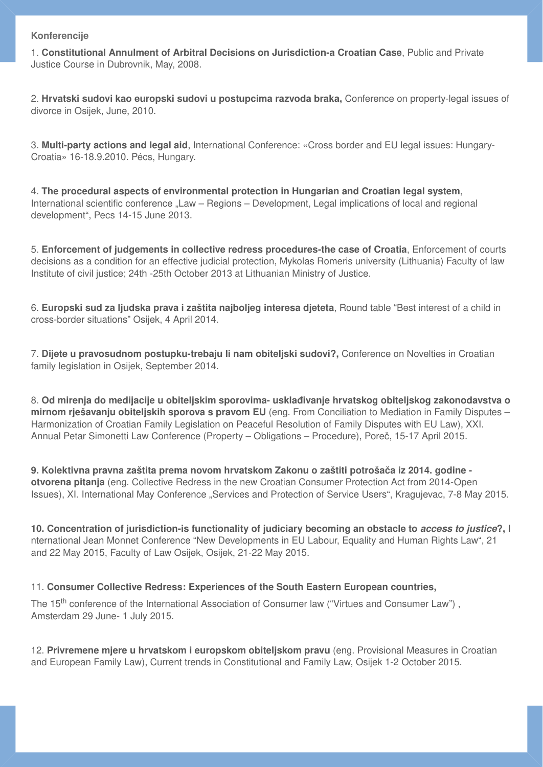#### **Konferencije**

1. **Constitutional Annulment of Arbitral Decisions on Jurisdiction-a Croatian Case**, Public and Private Justice Course in Dubrovnik, May, 2008.

2. **Hrvatski sudovi kao europski sudovi u postupcima razvoda braka,** Conference on property-legal issues of divorce in Osijek, June, 2010.

3. **Multi-party actions and legal aid**, International Conference: «Cross border and EU legal issues: Hungary-Croatia» 16-18.9.2010. Pécs, Hungary.

4. **The procedural aspects of environmental protection in Hungarian and Croatian legal system**, International scientific conference "Law – Regions – Development, Legal implications of local and regional development", Pecs 14-15 June 2013.

5. **Enforcement of judgements in collective redress procedures-the case of Croatia**, Enforcement of courts decisions as a condition for an effective judicial protection, Mykolas Romeris university (Lithuania) Faculty of law Institute of civil justice; 24th -25th October 2013 at Lithuanian Ministry of Justice.

6. **Europski sud za ljudska prava i zaštita najboljeg interesa djeteta**, Round table "Best interest of a child in cross-border situations" Osijek, 4 April 2014.

7. **Dijete u pravosudnom postupku-trebaju li nam obiteljski sudovi?,** Conference on Novelties in Croatian family legislation in Osijek, September 2014.

8. **Od mirenja do medijacije u obiteljskim sporovima- usklađivanje hrvatskog obiteljskog zakonodavstva o mirnom rješavanju obiteljskih sporova s pravom EU** (eng. From Conciliation to Mediation in Family Disputes – Harmonization of Croatian Family Legislation on Peaceful Resolution of Family Disputes with EU Law), XXI. Annual Petar Simonetti Law Conference (Property – Obligations – Procedure), Poreč, 15-17 April 2015.

**9. Kolektivna pravna zaštita prema novom hrvatskom Zakonu o zaštiti potrošača iz 2014. godine otvorena pitanja** (eng. Collective Redress in the new Croatian Consumer Protection Act from 2014-Open Issues), XI. International May Conference "Services and Protection of Service Users", Kragujevac, 7-8 May 2015.

**10. Concentration of jurisdiction-is functionality of judiciary becoming an obstacle to** *access to justice***?,** I nternational Jean Monnet Conference "New Developments in EU Labour, Equality and Human Rights Law", 21 and 22 May 2015, Faculty of Law Osijek, Osijek, 21-22 May 2015.

### 11. **Consumer Collective Redress: Experiences of the South Eastern European countries,**

The 15<sup>th</sup> conference of the International Association of Consumer law ("Virtues and Consumer Law"), Amsterdam 29 June- 1 July 2015.

12. **Privremene mjere u hrvatskom i europskom obiteljskom pravu** (eng. Provisional Measures in Croatian and European Family Law), Current trends in Constitutional and Family Law, Osijek 1-2 October 2015.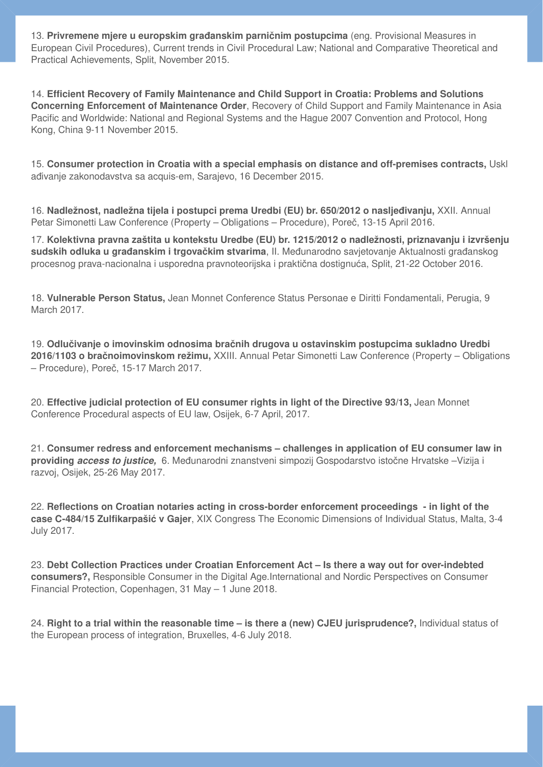13. **Privremene mjere u europskim građanskim parničnim postupcima** (eng. Provisional Measures in European Civil Procedures), Current trends in Civil Procedural Law; National and Comparative Theoretical and Practical Achievements, Split, November 2015.

14. **Efficient Recovery of Family Maintenance and Child Support in Croatia: Problems and Solutions Concerning Enforcement of Maintenance Order**, Recovery of Child Support and Family Maintenance in Asia Pacific and Worldwide: National and Regional Systems and the Hague 2007 Convention and Protocol, Hong Kong, China 9-11 November 2015.

15. **Consumer protection in Croatia with a special emphasis on distance and off-premises contracts,** Uskl ađivanje zakonodavstva sa acquis-em, Sarajevo, 16 December 2015.

16. **Nadležnost, nadležna tijela i postupci prema Uredbi (EU) br. 650/2012 o nasljeđivanju,** XXII. Annual Petar Simonetti Law Conference (Property – Obligations – Procedure), Poreč, 13-15 April 2016.

17. **Kolektivna pravna zaštita u kontekstu Uredbe (EU) br. 1215/2012 o nadležnosti, priznavanju i izvršenju sudskih odluka u građanskim i trgovačkim stvarima**, II. Međunarodno savjetovanje Aktualnosti građanskog procesnog prava-nacionalna i usporedna pravnoteorijska i praktična dostignuća, Split, 21-22 October 2016.

18. **Vulnerable Person Status,** Jean Monnet Conference Status Personae e Diritti Fondamentali, Perugia, 9 March 2017.

19. **Odlučivanje o imovinskim odnosima bračnih drugova u ostavinskim postupcima sukladno Uredbi 2016/1103 o bračnoimovinskom režimu,** XXIII. Annual Petar Simonetti Law Conference (Property – Obligations – Procedure), Poreč, 15-17 March 2017.

20. **Effective judicial protection of EU consumer rights in light of the Directive 93/13,** Jean Monnet Conference Procedural aspects of EU law, Osijek, 6-7 April, 2017.

21. **Consumer redress and enforcement mechanisms – challenges in application of EU consumer law in providing** *access to justice,* 6. Međunarodni znanstveni simpozij Gospodarstvo istočne Hrvatske –Vizija i razvoj, Osijek, 25-26 May 2017.

22. **Reflections on Croatian notaries acting in cross-border enforcement proceedings - in light of the case C-484/15 Zulfikarpašić v Gajer**, XIX Congress The Economic Dimensions of Individual Status, Malta, 3-4 July 2017.

23. **Debt Collection Practices under Croatian Enforcement Act – Is there a way out for over-indebted consumers?,** Responsible Consumer in the Digital Age.International and Nordic Perspectives on Consumer Financial Protection, Copenhagen, 31 May – 1 June 2018.

24. **Right to a trial within the reasonable time – is there a (new) CJEU jurisprudence?,** Individual status of the European process of integration, Bruxelles, 4-6 July 2018.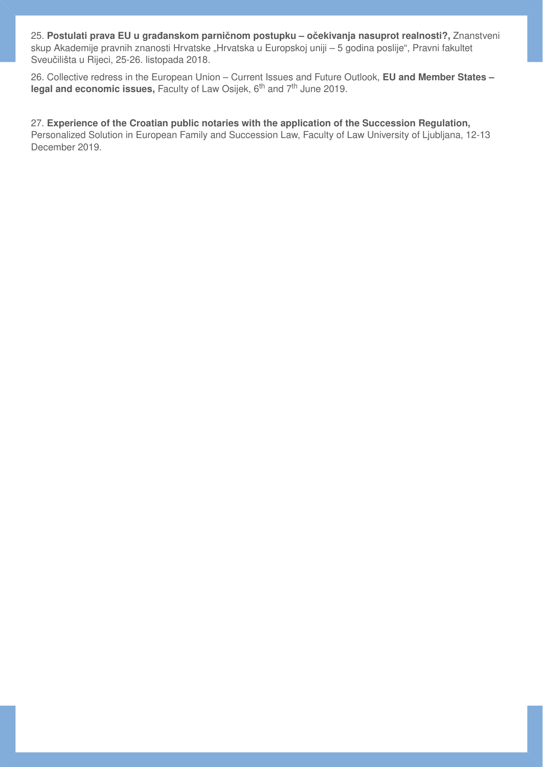25. **Postulati prava EU u građanskom parničnom postupku – očekivanja nasuprot realnosti?,** Znanstveni skup Akademije pravnih znanosti Hrvatske "Hrvatska u Europskoj uniji – 5 godina poslije", Pravni fakultet Sveučilišta u Rijeci, 25-26. listopada 2018.

26. Collective redress in the European Union – Current Issues and Future Outlook, **EU and Member States –** legal and economic issues, Faculty of Law Osijek, 6<sup>th</sup> and 7<sup>th</sup> June 2019.

27. **Experience of the Croatian public notaries with the application of the Succession Regulation,** Personalized Solution in European Family and Succession Law, Faculty of Law University of Ljubljana, 12-13 December 2019.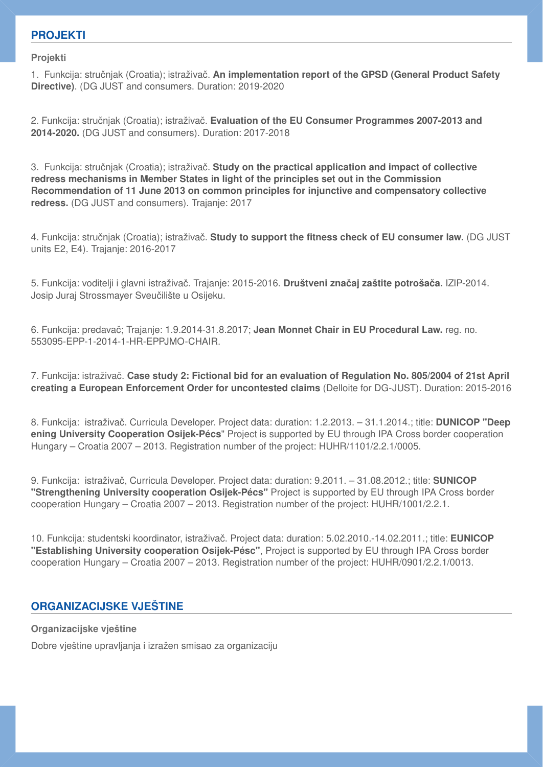## **PROJEKTI**

**Projekti** 

1. Funkcija: stručnjak (Croatia); istraživač. **An implementation report of the GPSD (General Product Safety Directive)**. (DG JUST and consumers. Duration: 2019-2020

2. Funkcija: stručnjak (Croatia); istraživač. **Evaluation of the EU Consumer Programmes 2007-2013 and 2014-2020.** (DG JUST and consumers). Duration: 2017-2018

3. Funkcija: stručnjak (Croatia); istraživač. **Study on the practical application and impact of collective redress mechanisms in Member States in light of the principles set out in the Commission Recommendation of 11 June 2013 on common principles for injunctive and compensatory collective redress.** (DG JUST and consumers). Trajanje: 2017

4. Funkcija: stručnjak (Croatia); istraživač. **Study to support the fitness check of EU consumer law.** (DG JUST units E2, E4). Trajanje: 2016-2017

5. Funkcija: voditelji i glavni istraživač. Trajanje: 2015-2016. **Društveni značaj zaštite potrošača.** IZIP-2014. Josip Juraj Strossmayer Sveučilište u Osijeku.

6. Funkcija: predavač; Trajanje: 1.9.2014-31.8.2017; **Jean Monnet Chair in EU Procedural Law.** reg. no. 553095-EPP-1-2014-1-HR-EPPJMO-CHAIR.

7. Funkcija: istraživač. **Case study 2: Fictional bid for an evaluation of Regulation No. 805/2004 of 21st April creating a European Enforcement Order for uncontested claims** (Delloite for DG-JUST). Duration: 2015-2016

8. Funkcija: istraživač. Curricula Developer. Project data: duration: 1.2.2013. – 31.1.2014.; title: **DUNICOP "Deep ening University Cooperation Osijek-Pécs**" Project is supported by EU through IPA Cross border cooperation Hungary – Croatia 2007 – 2013. Registration number of the project: HUHR/1101/2.2.1/0005.

9. Funkcija: istraživač, Curricula Developer. Project data: duration: 9.2011. – 31.08.2012.; title: **SUNICOP "Strengthening University cooperation Osijek-Pécs"** Project is supported by EU through IPA Cross border cooperation Hungary – Croatia 2007 – 2013. Registration number of the project: HUHR/1001/2.2.1.

10. Funkcija: studentski koordinator, istraživač. Project data: duration: 5.02.2010.-14.02.2011.; title: **EUNICOP "Establishing University cooperation Osijek-Pésc"**, Project is supported by EU through IPA Cross border cooperation Hungary – Croatia 2007 – 2013. Registration number of the project: HUHR/0901/2.2.1/0013.

## **ORGANIZACIJSKE VJEŠTINE**

**Organizacijske vještine** 

Dobre vještine upravljanja i izražen smisao za organizaciju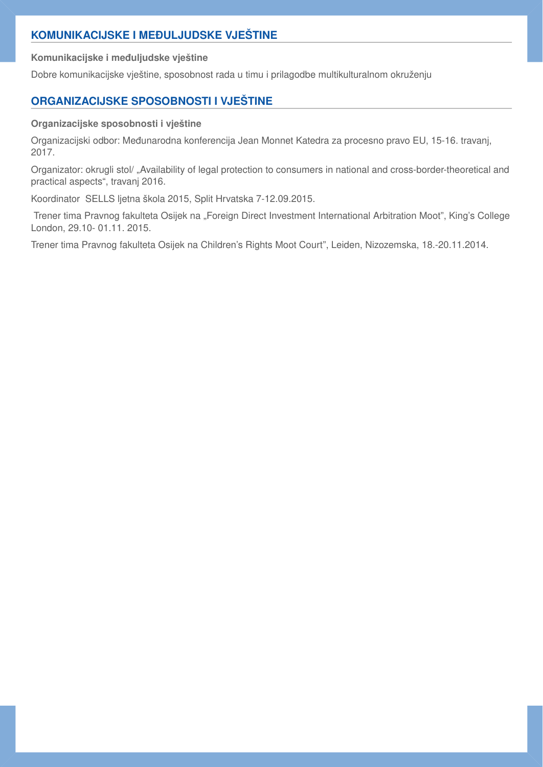## **KOMUNIKACIJSKE I MEĐULJUDSKE VJEŠTINE**

**Komunikacijske i međuljudske vještine** 

Dobre komunikacijske vještine, sposobnost rada u timu i prilagodbe multikulturalnom okruženju

# **ORGANIZACIJSKE SPOSOBNOSTI I VJEŠTINE**

## **Organizacijske sposobnosti i vještine**

Organizacijski odbor: Međunarodna konferencija Jean Monnet Katedra za procesno pravo EU, 15-16. travanj, 2017.

Organizator: okrugli stol/ "Availability of legal protection to consumers in national and cross-border-theoretical and practical aspects", travanj 2016.

Koordinator SELLS ljetna škola 2015, Split Hrvatska 7-12.09.2015.

Trener tima Pravnog fakulteta Osijek na "Foreign Direct Investment International Arbitration Moot", King's College London, 29.10- 01.11. 2015.

Trener tima Pravnog fakulteta Osijek na Children's Rights Moot Court", Leiden, Nizozemska, 18.-20.11.2014.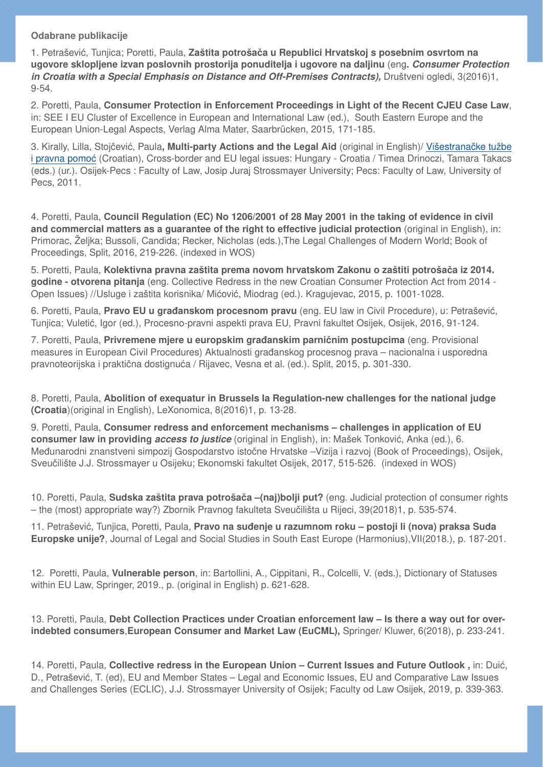#### **Odabrane publikacije**

1. Petrašević, Tunjica; Poretti, Paula, **Zaštita potrošača u Republici Hrvatskoj s posebnim osvrtom na ugovore sklopljene izvan poslovnih prostorija ponuditelja i ugovore na daljinu** (eng**.** *Consumer Protection in Croatia with a Special Emphasis on Distance and Off-Premises Contracts),* Društveni ogledi, 3(2016)1, 9-54.

2. Poretti, Paula, **Consumer Protection in Enforcement Proceedings in Light of the Recent CJEU Case Law***,* in: SEE I EU Cluster of Excellence in European and International Law (ed.), South Eastern Europe and the European Union-Legal Aspects, Verlag Alma Mater, Saarbrücken, 2015, 171-185.

3. Kirally, Lilla, Stojčević, Paula**, Multi-party Actions and the Legal Aid** (original in English)/ [Višestrana](http://bib.irb.hr/prikazi-rad?&rad=664686)čke tužbe [i pravna pomo](http://bib.irb.hr/prikazi-rad?&rad=664686)ć (Croatian), Cross-border and EU legal issues: Hungary - Croatia / Timea Drinoczi, Tamara Takacs (eds.) (ur.). Osijek-Pecs : Faculty of Law, Josip Juraj Strossmayer University; Pecs: Faculty of Law, University of Pecs, 2011.

4. Poretti, Paula, **Council Regulation (EC) No 1206/2001 of 28 May 2001 in the taking of evidence in civil and commercial matters as a quarantee of the right to effective judicial protection (original in English), in:** Primorac, Željka; Bussoli, Candida; Recker, Nicholas (eds.),The Legal Challenges of Modern World; Book of Proceedings, Split, 2016, 219-226. (indexed in WOS)

5. Poretti, Paula, **Kolektivna pravna zaštita prema novom hrvatskom Zakonu o zaštiti potrošača iz 2014. godine - otvorena pitanja** (eng. Collective Redress in the new Croatian Consumer Protection Act from 2014 - Open Issues) //Usluge i zaštita korisnika/ Mićović, Miodrag (ed.). Kragujevac, 2015, p. 1001-1028.

6. Poretti, Paula, **Pravo EU u građanskom procesnom pravu** (eng. EU law in Civil Procedure), u: Petrašević, Tunjica; Vuletić, Igor (ed.), Procesno-pravni aspekti prava EU, Pravni fakultet Osijek, Osijek, 2016, 91-124.

7. Poretti, Paula, **Privremene mjere u europskim građanskim parničnim postupcima** (eng. Provisional measures in European Civil Procedures) Aktualnosti građanskog procesnog prava – nacionalna i usporedna pravnoteorijska i praktična dostignuća / Rijavec, Vesna et al. (ed.). Split, 2015, p. 301-330.

8. Poretti, Paula, **Abolition of exequatur in Brussels Ia Regulation-new challenges for the national judge (Croatia**)(original in English)*,* LeXonomica, 8(2016)1, p. 13-28.

9. Poretti, Paula, **Consumer redress and enforcement mechanisms – challenges in application of EU consumer law in providing** *access to justice* (original in English), in: Mašek Tonković, Anka (ed.), 6. Međunarodni znanstveni simpozij Gospodarstvo istočne Hrvatske –Vizija i razvoj (Book of Proceedings), Osijek, Sveučilište J.J. Strossmayer u Osijeku; Ekonomski fakultet Osijek, 2017, 515-526. (indexed in WOS)

10. Poretti, Paula, **Sudska zaštita prava potrošača –(naj)bolji put?** (eng. Judicial protection of consumer rights – the (most) appropriate way?) Zbornik Pravnog fakulteta Sveučilišta u Rijeci, 39(2018)1, p. 535-574.

11. Petrašević, Tunjica, Poretti, Paula, **Pravo na suđenje u razumnom roku – postoji li (nova) praksa Suda Europske unije?**, Journal of Legal and Social Studies in South East Europe (Harmonius),VII(2018.), p. 187-201.

12. Poretti, Paula, **Vulnerable person**, in: Bartollini, A., Cippitani, R., Colcelli, V. (eds.), Dictionary of Statuses within EU Law, Springer, 2019., p. (original in English) p. 621-628.

13. Poretti, Paula, **Debt Collection Practices under Croatian enforcement law – Is there a way out for overindebted consumers**,**European Consumer and Market Law (EuCML),** Springer/ Kluwer, 6(2018), p. 233-241.

14. Poretti, Paula, **Collective redress in the European Union – Current Issues and Future Outlook ,** in: Duić, D., Petrašević, T. (ed), EU and Member States – Legal and Economic Issues, EU and Comparative Law Issues and Challenges Series (ECLIC), J.J. Strossmayer University of Osijek; Faculty od Law Osijek, 2019, p. 339-363.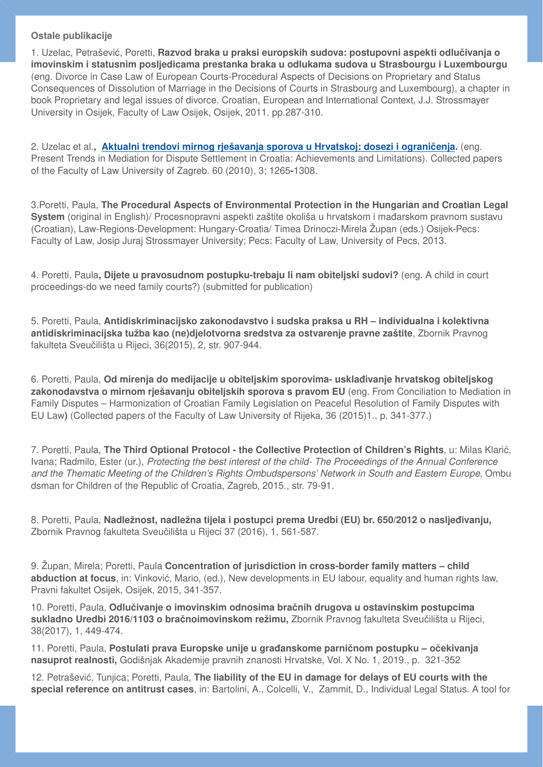#### **Ostale publikacije**

1. Uzelac, Petrašević, Poretti, **Razvod braka u praksi europskih sudova: postupovni aspekti odlučivanja o imovinskim i statusnim posljedicama prestanka braka u odlukama sudova u Strasbourgu i Luxembourgu**  (eng. Divorce in Case Law of European Courts-Procedural Aspects of Decisions on Proprietary and Status Consequences of Dissolution of Marriage in the Decisions of Courts in Strasbourg and Luxembourg), a chapter in book Proprietary and legal issues of divorce. Croatian, European and International Context, J.J. Strossmayer University in Osijek, Faculty of Law Osijek, Osijek, 2011. pp.287-310.

2. Uzelac et al.**, [Aktualni trendovi mirnog rješavanja sporova u Hrvatskoj: dosezi i ograni](http://bib.irb.hr/prikazi-rad?&rad=501843)čenja.** (eng. Present Trends in Mediation for Dispute Settlement in Croatia: Achievements and Limitations). Collected papers of the Faculty of Law University of Zagreb. 60 (2010), 3; 1265**-**1308.

3.Poretti, Paula, **The Procedural Aspects of Environmental Protection in the Hungarian and Croatian Legal System** (original in English)/ Procesnopravni aspekti zaštite okoliša u hrvatskom i mađarskom pravnom sustavu (Croatian), Law-Regions-Development: Hungary-Croatia/ Timea Drinoczi-Mirela Župan (eds.) Osijek-Pecs: Faculty of Law, Josip Juraj Strossmayer University; Pecs: Faculty of Law, University of Pecs, 2013.

4. Poretti, Paula**, Dijete u pravosudnom postupku-trebaju li nam obiteljski sudovi?** (eng. A child in court proceedings-do we need family courts?) (submitted for publication)

5. Poretti, Paula, **Antidiskriminacijsko zakonodavstvo i sudska praksa u RH – individualna i kolektivna antidiskriminacijska tužba kao (ne)djelotvorna sredstva za ostvarenje pravne zaštite**, Zbornik Pravnog fakulteta Sveučilišta u Rijeci, 36(2015), 2, str. 907-944.

6. Poretti, Paula, **Od mirenja do medijacije u obiteljskim sporovima- usklađivanje hrvatskog obiteljskog zakonodavstva o mirnom rješavanju obiteljskih sporova s pravom EU** (eng. From Conciliation to Mediation in Family Disputes – Harmonization of Croatian Family Legislation on Peaceful Resolution of Family Disputes with EU Law**)** (Collected papers of the Faculty of Law University of Rijeka, 36 (2015)1., p. 341-377.)

7. Poretti, Paula, **The Third Optional Protocol - the Collective Protection of Children's Rights**, u: Milas Klarić, Ivana; Radmilo, Ester (ur.), *Protecting the best interest of the child- The Proceedings of the Annual Conference and the Thematic Meeting of the Children's Rights Ombudspersons' Network in South and Eastern Europe,* Ombu dsman for Children of the Republic of Croatia, Zagreb, 2015., str. 79-91.

8. Poretti, Paula, **Nadležnost, nadležna tijela i postupci prema Uredbi (EU) br. 650/2012 o nasljeđivanju,** Zbornik Pravnog fakulteta Sveučilišta u Rijeci 37 (2016), 1, 561-587.

9. Župan, Mirela; Poretti, Paula **Concentration of jurisdiction in cross-border family matters – child abduction at focus**, in: Vinković, Mario, (ed.), New developments in EU labour, equality and human rights law, Pravni fakultet Osijek, Osijek, 2015, 341-357.

10. Poretti, Paula, **Odlučivanje o imovinskim odnosima bračnih drugova u ostavinskim postupcima sukladno Uredbi 2016/1103 o bračnoimovinskom režimu,** Zbornik Pravnog fakulteta Sveučilišta u Rijeci, 38(2017), 1, 449-474.

11. Poretti, Paula, **Postulati prava Europske unije u građanskome parničnom postupku – očekivanja nasuprot realnosti,** Godišnjak Akademije pravnih znanosti Hrvatske, Vol. X No. 1, 2019., p. 321-352

12. Petrašević, Tunjica; Poretti, Paula, **The liability of the EU in damage for delays of EU courts with the special reference on antitrust cases**, in: Bartolini, A., Colcelli, V., Zammit, D., Individual Legal Status. A tool for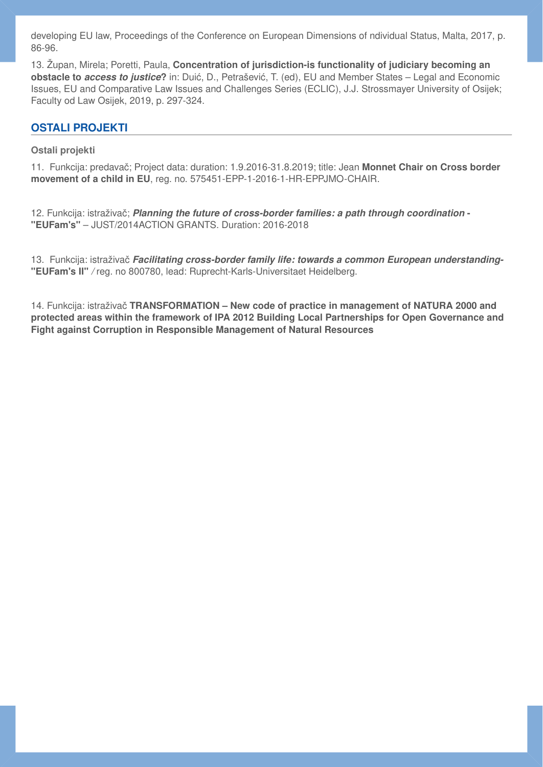developing EU law, Proceedings of the Conference on European Dimensions of ndividual Status, Malta, 2017, p. 86-96.

13. Župan, Mirela; Poretti, Paula, **Concentration of jurisdiction-is functionality of judiciary becoming an obstacle to** *access to justice***?** in: Duić, D., Petrašević, T. (ed), EU and Member States – Legal and Economic Issues, EU and Comparative Law Issues and Challenges Series (ECLIC), J.J. Strossmayer University of Osijek; Faculty od Law Osijek, 2019, p. 297-324.

## **OSTALI PROJEKTI**

#### **Ostali projekti**

11. Funkcija: predavač; Project data: duration: 1.9.2016-31.8.2019; title: Jean **Monnet Chair on Cross border movement of a child in EU**, reg. no. 575451-EPP-1-2016-1-HR-EPPJMO-CHAIR.

12. Funkcija: istraživač; *Planning the future of cross-border families: a path through coordination* **- "EUFam's"** – JUST/2014ACTION GRANTS. Duration: 2016-2018

13. Funkcija: istraživač *Facilitating cross-border family life: towards a common European understanding-* **"EUFam's II"** */* reg. no 800780, lead: Ruprecht-Karls-Universitaet Heidelberg.

14. Funkcija: istraživač **TRANSFORMATION – New code of practice in management of NATURA 2000 and protected areas within the framework of IPA 2012 Building Local Partnerships for Open Governance and Fight against Corruption in Responsible Management of Natural Resources**